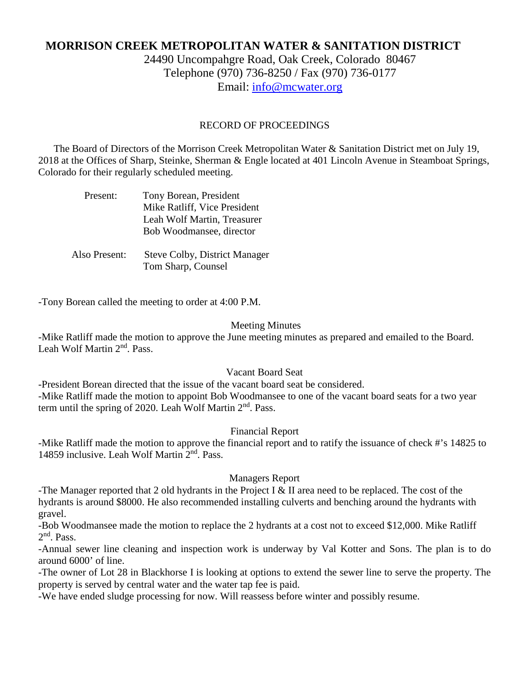# **MORRISON CREEK METROPOLITAN WATER & SANITATION DISTRICT**

24490 Uncompahgre Road, Oak Creek, Colorado 80467 Telephone (970) 736-8250 / Fax (970) 736-0177 Email: [info@mcwater.org](mailto:info@mcwater.org)

#### RECORD OF PROCEEDINGS

 The Board of Directors of the Morrison Creek Metropolitan Water & Sanitation District met on July 19, 2018 at the Offices of Sharp, Steinke, Sherman & Engle located at 401 Lincoln Avenue in Steamboat Springs, Colorado for their regularly scheduled meeting.

| Present:      | Tony Borean, President<br>Mike Ratliff, Vice President  |
|---------------|---------------------------------------------------------|
|               | Leah Wolf Martin, Treasurer<br>Bob Woodmansee, director |
| Also Present: | <b>Steve Colby, District Manager</b>                    |

Tom Sharp, Counsel

-Tony Borean called the meeting to order at 4:00 P.M.

#### Meeting Minutes

-Mike Ratliff made the motion to approve the June meeting minutes as prepared and emailed to the Board. Leah Wolf Martin 2nd. Pass.

### Vacant Board Seat

-President Borean directed that the issue of the vacant board seat be considered. -Mike Ratliff made the motion to appoint Bob Woodmansee to one of the vacant board seats for a two year term until the spring of 2020. Leah Wolf Martin  $2<sup>nd</sup>$ . Pass.

#### Financial Report

-Mike Ratliff made the motion to approve the financial report and to ratify the issuance of check #'s 14825 to 14859 inclusive. Leah Wolf Martin 2<sup>nd</sup>. Pass.

#### Managers Report

-The Manager reported that 2 old hydrants in the Project I  $\&$  II area need to be replaced. The cost of the hydrants is around \$8000. He also recommended installing culverts and benching around the hydrants with gravel.

-Bob Woodmansee made the motion to replace the 2 hydrants at a cost not to exceed \$12,000. Mike Ratliff 2nd. Pass.

-Annual sewer line cleaning and inspection work is underway by Val Kotter and Sons. The plan is to do around 6000' of line.

-The owner of Lot 28 in Blackhorse I is looking at options to extend the sewer line to serve the property. The property is served by central water and the water tap fee is paid.

-We have ended sludge processing for now. Will reassess before winter and possibly resume.